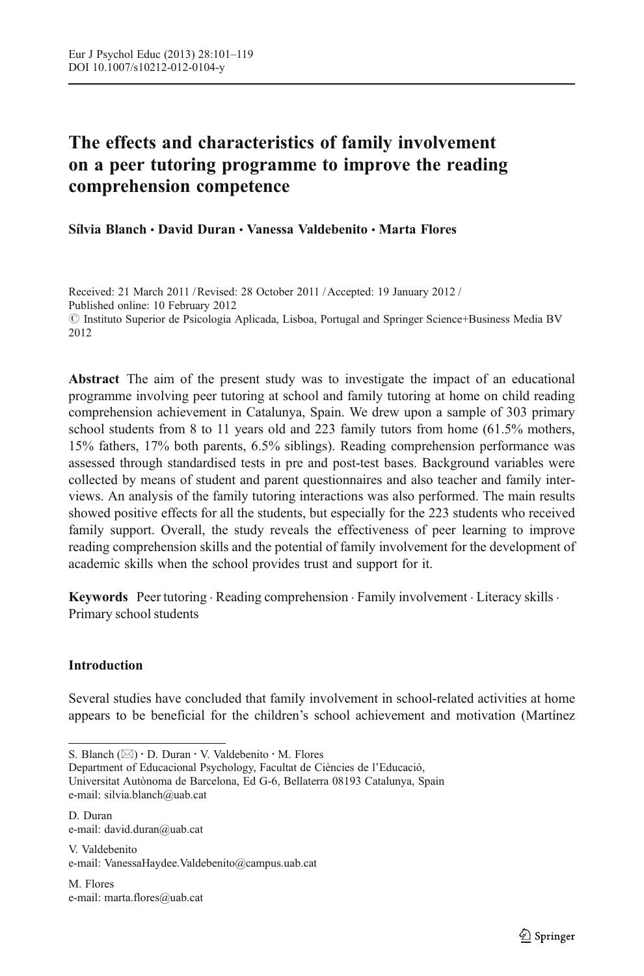# The effects and characteristics of family involvement on a peer tutoring programme to improve the reading comprehension competence

Sílvia Blanch • David Duran • Vanessa Valdebenito • Marta Flores

Received: 21 March 2011 /Revised: 28 October 2011 / Accepted: 19 January 2012 / Published online: 10 February 2012 # Instituto Superior de Psicologia Aplicada, Lisboa, Portugal and Springer Science+Business Media BV 2012

Abstract The aim of the present study was to investigate the impact of an educational programme involving peer tutoring at school and family tutoring at home on child reading comprehension achievement in Catalunya, Spain. We drew upon a sample of 303 primary school students from 8 to 11 years old and 223 family tutors from home (61.5% mothers, 15% fathers, 17% both parents, 6.5% siblings). Reading comprehension performance was assessed through standardised tests in pre and post-test bases. Background variables were collected by means of student and parent questionnaires and also teacher and family interviews. An analysis of the family tutoring interactions was also performed. The main results showed positive effects for all the students, but especially for the 223 students who received family support. Overall, the study reveals the effectiveness of peer learning to improve reading comprehension skills and the potential of family involvement for the development of academic skills when the school provides trust and support for it.

**Keywords** Peer tutoring  $\cdot$  Reading comprehension  $\cdot$  Family involvement  $\cdot$  Literacy skills  $\cdot$ Primary school students

# Introduction

Several studies have concluded that family involvement in school-related activities at home appears to be beneficial for the children's school achievement and motivation (Martínez

Department of Educacional Psychology, Facultat de Ciències de l'Educació, Universitat Autònoma de Barcelona, Ed G-6, Bellaterra 08193 Catalunya, Spain e-mail: silvia.blanch@uab.cat

D. Duran e-mail: david.duran@uab.cat

V. Valdebenito e-mail: VanessaHaydee.Valdebenito@campus.uab.cat

M. Flores e-mail: marta.flores@uab.cat

S. Blanch  $(\boxtimes) \cdot$  D. Duran  $\cdot$  V. Valdebenito  $\cdot$  M. Flores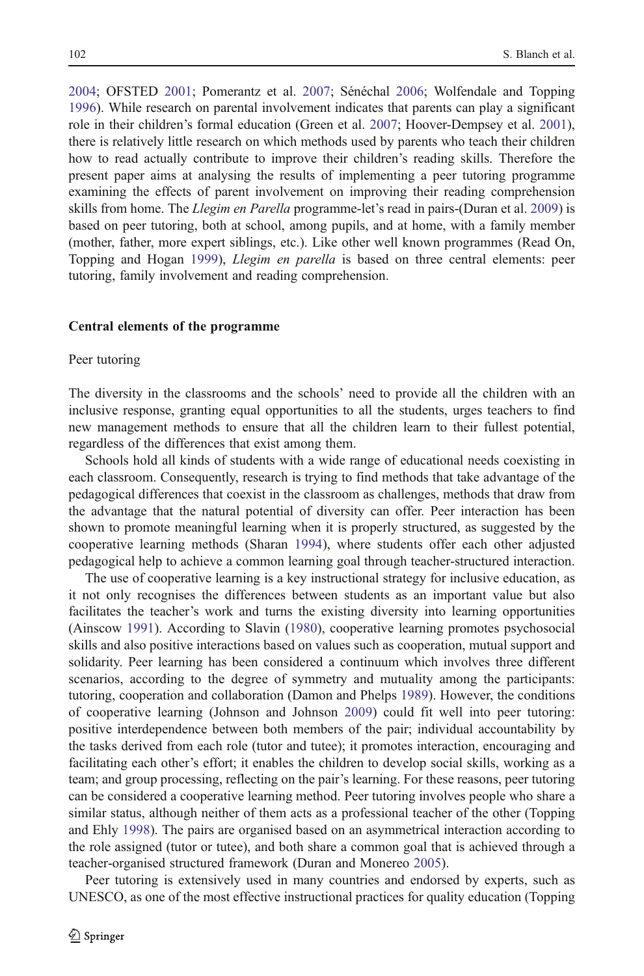[2004;](#page-16-0) OFSTED [2001](#page-16-0); Pomerantz et al. [2007;](#page-16-0) Sénéchal [2006](#page-16-0); Wolfendale and Topping [1996\)](#page-17-0). While research on parental involvement indicates that parents can play a significant role in their children's formal education (Green et al. [2007](#page-15-0); Hoover-Dempsey et al. [2001](#page-15-0)), there is relatively little research on which methods used by parents who teach their children how to read actually contribute to improve their children's reading skills. Therefore the present paper aims at analysing the results of implementing a peer tutoring programme examining the effects of parent involvement on improving their reading comprehension skills from home. The *Llegim en Parella* programme-let's read in pairs-(Duran et al. [2009](#page-15-0)) is based on peer tutoring, both at school, among pupils, and at home, with a family member (mother, father, more expert siblings, etc.). Like other well known programmes (Read On, Topping and Hogan [1999\)](#page-16-0), *Llegim en parella* is based on three central elements: peer tutoring, family involvement and reading comprehension.

### Central elements of the programme

#### Peer tutoring

The diversity in the classrooms and the schools' need to provide all the children with an inclusive response, granting equal opportunities to all the students, urges teachers to find new management methods to ensure that all the children learn to their fullest potential, regardless of the differences that exist among them.

Schools hold all kinds of students with a wide range of educational needs coexisting in each classroom. Consequently, research is trying to find methods that take advantage of the pedagogical differences that coexist in the classroom as challenges, methods that draw from the advantage that the natural potential of diversity can offer. Peer interaction has been shown to promote meaningful learning when it is properly structured, as suggested by the cooperative learning methods (Sharan [1994](#page-16-0)), where students offer each other adjusted pedagogical help to achieve a common learning goal through teacher-structured interaction.

The use of cooperative learning is a key instructional strategy for inclusive education, as it not only recognises the differences between students as an important value but also facilitates the teacher's work and turns the existing diversity into learning opportunities (Ainscow [1991](#page-15-0)). According to Slavin ([1980\)](#page-16-0), cooperative learning promotes psychosocial skills and also positive interactions based on values such as cooperation, mutual support and solidarity. Peer learning has been considered a continuum which involves three different scenarios, according to the degree of symmetry and mutuality among the participants: tutoring, cooperation and collaboration (Damon and Phelps [1989](#page-15-0)). However, the conditions of cooperative learning (Johnson and Johnson [2009](#page-15-0)) could fit well into peer tutoring: positive interdependence between both members of the pair; individual accountability by the tasks derived from each role (tutor and tutee); it promotes interaction, encouraging and facilitating each other's effort; it enables the children to develop social skills, working as a team; and group processing, reflecting on the pair's learning. For these reasons, peer tutoring can be considered a cooperative learning method. Peer tutoring involves people who share a similar status, although neither of them acts as a professional teacher of the other (Topping and Ehly [1998\)](#page-16-0). The pairs are organised based on an asymmetrical interaction according to the role assigned (tutor or tutee), and both share a common goal that is achieved through a teacher-organised structured framework (Duran and Monereo [2005](#page-15-0)).

Peer tutoring is extensively used in many countries and endorsed by experts, such as UNESCO, as one of the most effective instructional practices for quality education (Topping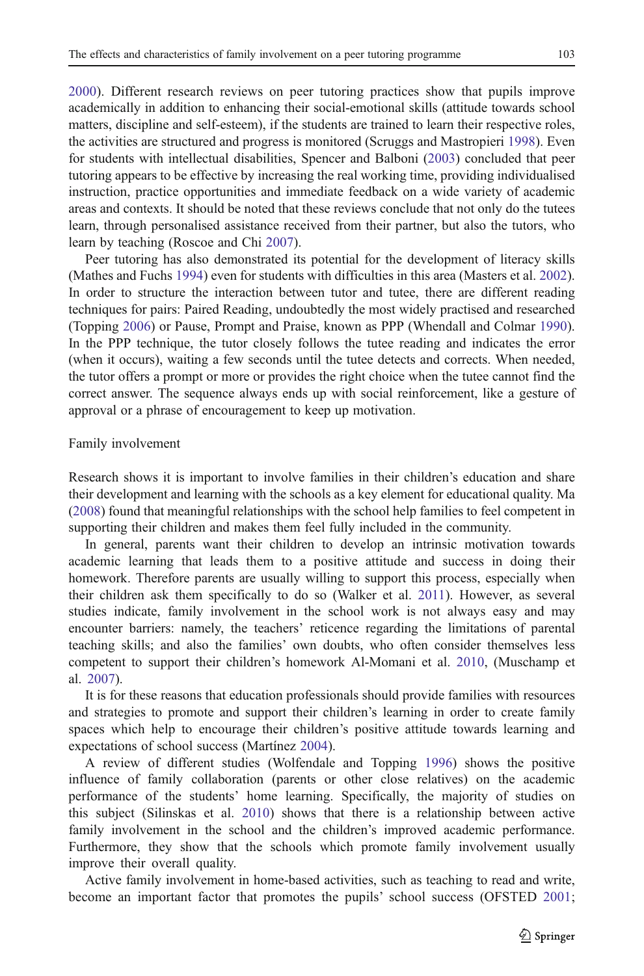[2000\)](#page-16-0). Different research reviews on peer tutoring practices show that pupils improve academically in addition to enhancing their social-emotional skills (attitude towards school matters, discipline and self-esteem), if the students are trained to learn their respective roles, the activities are structured and progress is monitored (Scruggs and Mastropieri [1998\)](#page-16-0). Even for students with intellectual disabilities, Spencer and Balboni [\(2003\)](#page-16-0) concluded that peer tutoring appears to be effective by increasing the real working time, providing individualised instruction, practice opportunities and immediate feedback on a wide variety of academic areas and contexts. It should be noted that these reviews conclude that not only do the tutees learn, through personalised assistance received from their partner, but also the tutors, who learn by teaching (Roscoe and Chi [2007](#page-16-0)).

Peer tutoring has also demonstrated its potential for the development of literacy skills (Mathes and Fuchs [1994\)](#page-16-0) even for students with difficulties in this area (Masters et al. [2002](#page-16-0)). In order to structure the interaction between tutor and tutee, there are different reading techniques for pairs: Paired Reading, undoubtedly the most widely practised and researched (Topping [2006\)](#page-16-0) or Pause, Prompt and Praise, known as PPP (Whendall and Colmar [1990](#page-17-0)). In the PPP technique, the tutor closely follows the tutee reading and indicates the error (when it occurs), waiting a few seconds until the tutee detects and corrects. When needed, the tutor offers a prompt or more or provides the right choice when the tutee cannot find the correct answer. The sequence always ends up with social reinforcement, like a gesture of approval or a phrase of encouragement to keep up motivation.

### Family involvement

Research shows it is important to involve families in their children's education and share their development and learning with the schools as a key element for educational quality. Ma ([2008\)](#page-15-0) found that meaningful relationships with the school help families to feel competent in supporting their children and makes them feel fully included in the community.

In general, parents want their children to develop an intrinsic motivation towards academic learning that leads them to a positive attitude and success in doing their homework. Therefore parents are usually willing to support this process, especially when their children ask them specifically to do so (Walker et al. [2011\)](#page-16-0). However, as several studies indicate, family involvement in the school work is not always easy and may encounter barriers: namely, the teachers' reticence regarding the limitations of parental teaching skills; and also the families' own doubts, who often consider themselves less competent to support their children's homework Al-Momani et al. [2010,](#page-15-0) (Muschamp et al. [2007\)](#page-16-0).

It is for these reasons that education professionals should provide families with resources and strategies to promote and support their children's learning in order to create family spaces which help to encourage their children's positive attitude towards learning and expectations of school success (Martínez [2004\)](#page-16-0).

A review of different studies (Wolfendale and Topping [1996\)](#page-17-0) shows the positive influence of family collaboration (parents or other close relatives) on the academic performance of the students' home learning. Specifically, the majority of studies on this subject (Silinskas et al. [2010](#page-16-0)) shows that there is a relationship between active family involvement in the school and the children's improved academic performance. Furthermore, they show that the schools which promote family involvement usually improve their overall quality.

Active family involvement in home-based activities, such as teaching to read and write, become an important factor that promotes the pupils' school success (OFSTED [2001](#page-16-0);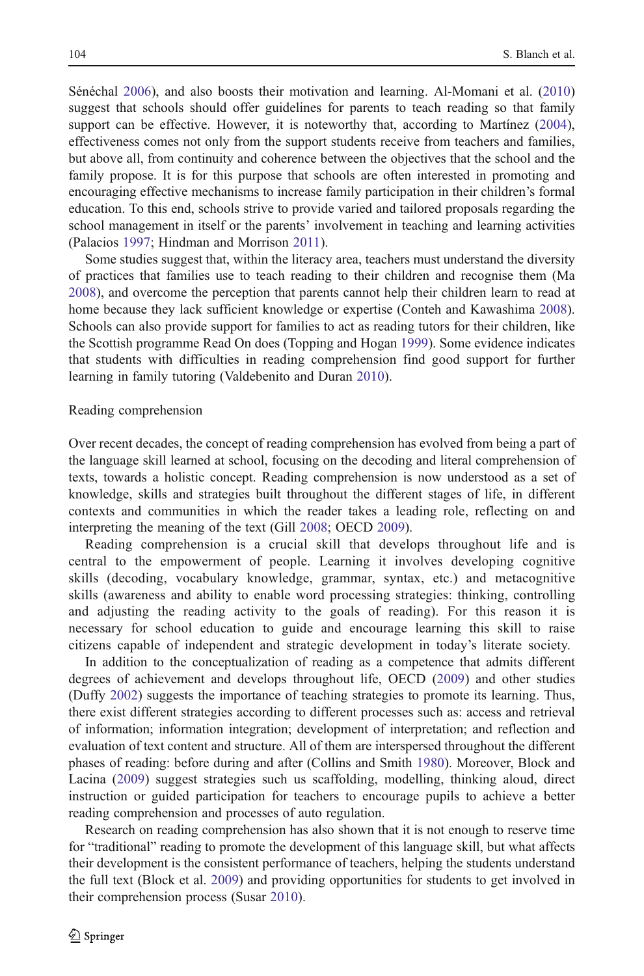Sénéchal [2006](#page-16-0)), and also boosts their motivation and learning. Al-Momani et al. ([2010\)](#page-15-0) suggest that schools should offer guidelines for parents to teach reading so that family support can be effective. However, it is noteworthy that, according to Martínez [\(2004](#page-16-0)), effectiveness comes not only from the support students receive from teachers and families, but above all, from continuity and coherence between the objectives that the school and the family propose. It is for this purpose that schools are often interested in promoting and encouraging effective mechanisms to increase family participation in their children's formal education. To this end, schools strive to provide varied and tailored proposals regarding the school management in itself or the parents' involvement in teaching and learning activities (Palacios [1997;](#page-16-0) Hindman and Morrison [2011\)](#page-15-0).

Some studies suggest that, within the literacy area, teachers must understand the diversity of practices that families use to teach reading to their children and recognise them (Ma [2008\)](#page-15-0), and overcome the perception that parents cannot help their children learn to read at home because they lack sufficient knowledge or expertise (Conteh and Kawashima [2008](#page-15-0)). Schools can also provide support for families to act as reading tutors for their children, like the Scottish programme Read On does (Topping and Hogan [1999](#page-16-0)). Some evidence indicates that students with difficulties in reading comprehension find good support for further learning in family tutoring (Valdebenito and Duran [2010](#page-16-0)).

### Reading comprehension

Over recent decades, the concept of reading comprehension has evolved from being a part of the language skill learned at school, focusing on the decoding and literal comprehension of texts, towards a holistic concept. Reading comprehension is now understood as a set of knowledge, skills and strategies built throughout the different stages of life, in different contexts and communities in which the reader takes a leading role, reflecting on and interpreting the meaning of the text (Gill [2008;](#page-15-0) OECD [2009](#page-16-0)).

Reading comprehension is a crucial skill that develops throughout life and is central to the empowerment of people. Learning it involves developing cognitive skills (decoding, vocabulary knowledge, grammar, syntax, etc.) and metacognitive skills (awareness and ability to enable word processing strategies: thinking, controlling and adjusting the reading activity to the goals of reading). For this reason it is necessary for school education to guide and encourage learning this skill to raise citizens capable of independent and strategic development in today's literate society.

In addition to the conceptualization of reading as a competence that admits different degrees of achievement and develops throughout life, OECD [\(2009](#page-16-0)) and other studies (Duffy [2002](#page-15-0)) suggests the importance of teaching strategies to promote its learning. Thus, there exist different strategies according to different processes such as: access and retrieval of information; information integration; development of interpretation; and reflection and evaluation of text content and structure. All of them are interspersed throughout the different phases of reading: before during and after (Collins and Smith [1980](#page-15-0)). Moreover, Block and Lacina ([2009\)](#page-15-0) suggest strategies such us scaffolding, modelling, thinking aloud, direct instruction or guided participation for teachers to encourage pupils to achieve a better reading comprehension and processes of auto regulation.

Research on reading comprehension has also shown that it is not enough to reserve time for "traditional" reading to promote the development of this language skill, but what affects their development is the consistent performance of teachers, helping the students understand the full text (Block et al. [2009\)](#page-15-0) and providing opportunities for students to get involved in their comprehension process (Susar [2010](#page-16-0)).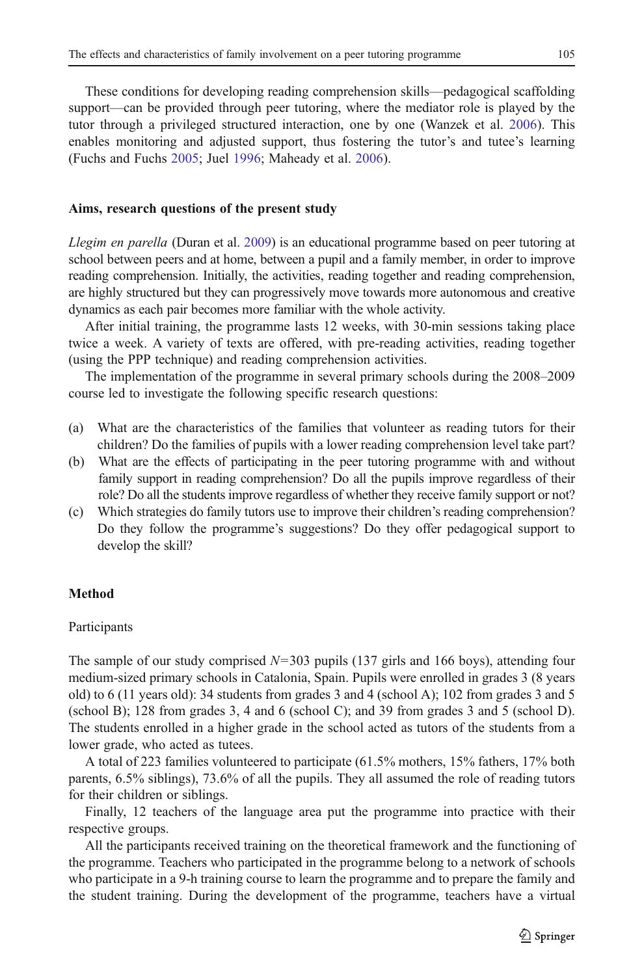These conditions for developing reading comprehension skills—pedagogical scaffolding support—can be provided through peer tutoring, where the mediator role is played by the tutor through a privileged structured interaction, one by one (Wanzek et al. [2006\)](#page-17-0). This enables monitoring and adjusted support, thus fostering the tutor's and tutee's learning (Fuchs and Fuchs [2005;](#page-15-0) Juel [1996](#page-15-0); Maheady et al. [2006\)](#page-15-0).

### Aims, research questions of the present study

Llegim en parella (Duran et al. [2009](#page-15-0)) is an educational programme based on peer tutoring at school between peers and at home, between a pupil and a family member, in order to improve reading comprehension. Initially, the activities, reading together and reading comprehension, are highly structured but they can progressively move towards more autonomous and creative dynamics as each pair becomes more familiar with the whole activity.

After initial training, the programme lasts 12 weeks, with 30-min sessions taking place twice a week. A variety of texts are offered, with pre-reading activities, reading together (using the PPP technique) and reading comprehension activities.

The implementation of the programme in several primary schools during the 2008–2009 course led to investigate the following specific research questions:

- (a) What are the characteristics of the families that volunteer as reading tutors for their children? Do the families of pupils with a lower reading comprehension level take part?
- (b) What are the effects of participating in the peer tutoring programme with and without family support in reading comprehension? Do all the pupils improve regardless of their role? Do all the students improve regardless of whether they receive family support or not?
- (c) Which strategies do family tutors use to improve their children's reading comprehension? Do they follow the programme's suggestions? Do they offer pedagogical support to develop the skill?

### Method

### Participants

The sample of our study comprised  $N=303$  pupils (137 girls and 166 boys), attending four medium-sized primary schools in Catalonia, Spain. Pupils were enrolled in grades 3 (8 years old) to 6 (11 years old): 34 students from grades 3 and 4 (school A); 102 from grades 3 and 5 (school B); 128 from grades 3, 4 and 6 (school C); and 39 from grades 3 and 5 (school D). The students enrolled in a higher grade in the school acted as tutors of the students from a lower grade, who acted as tutees.

A total of 223 families volunteered to participate (61.5% mothers, 15% fathers, 17% both parents, 6.5% siblings), 73.6% of all the pupils. They all assumed the role of reading tutors for their children or siblings.

Finally, 12 teachers of the language area put the programme into practice with their respective groups.

All the participants received training on the theoretical framework and the functioning of the programme. Teachers who participated in the programme belong to a network of schools who participate in a 9-h training course to learn the programme and to prepare the family and the student training. During the development of the programme, teachers have a virtual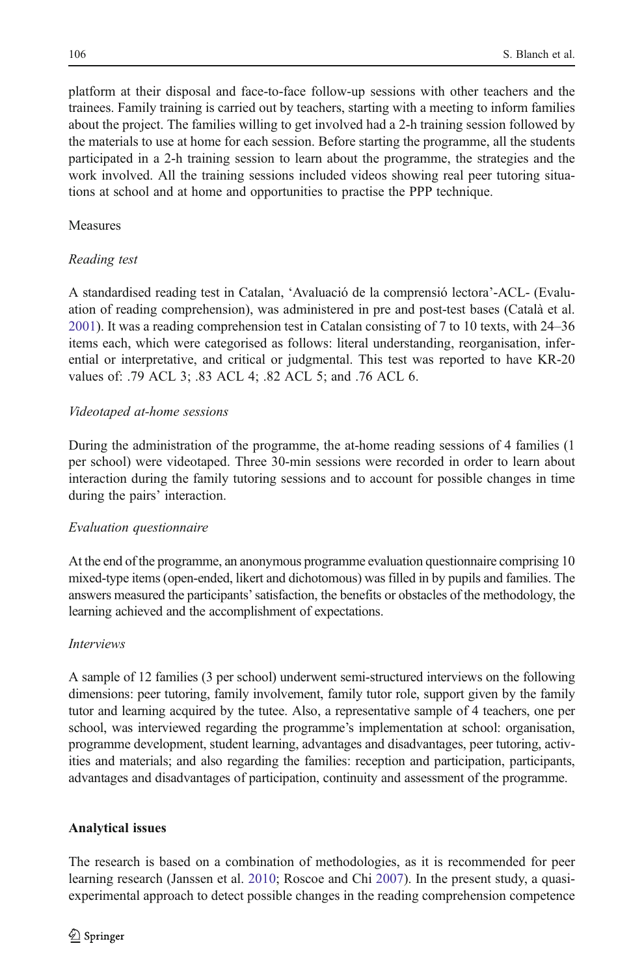platform at their disposal and face-to-face follow-up sessions with other teachers and the trainees. Family training is carried out by teachers, starting with a meeting to inform families about the project. The families willing to get involved had a 2-h training session followed by the materials to use at home for each session. Before starting the programme, all the students participated in a 2-h training session to learn about the programme, the strategies and the work involved. All the training sessions included videos showing real peer tutoring situations at school and at home and opportunities to practise the PPP technique.

# Measures

# Reading test

A standardised reading test in Catalan, 'Avaluació de la comprensió lectora'-ACL- (Evaluation of reading comprehension), was administered in pre and post-test bases (Català et al. [2001\)](#page-15-0). It was a reading comprehension test in Catalan consisting of 7 to 10 texts, with 24–36 items each, which were categorised as follows: literal understanding, reorganisation, inferential or interpretative, and critical or judgmental. This test was reported to have KR-20 values of: .79 ACL 3; .83 ACL 4; .82 ACL 5; and .76 ACL 6.

# Videotaped at-home sessions

During the administration of the programme, the at-home reading sessions of 4 families (1 per school) were videotaped. Three 30-min sessions were recorded in order to learn about interaction during the family tutoring sessions and to account for possible changes in time during the pairs' interaction.

# Evaluation questionnaire

At the end of the programme, an anonymous programme evaluation questionnaire comprising 10 mixed-type items (open-ended, likert and dichotomous) was filled in by pupils and families. The answers measured the participants'satisfaction, the benefits or obstacles of the methodology, the learning achieved and the accomplishment of expectations.

# Interviews

A sample of 12 families (3 per school) underwent semi-structured interviews on the following dimensions: peer tutoring, family involvement, family tutor role, support given by the family tutor and learning acquired by the tutee. Also, a representative sample of 4 teachers, one per school, was interviewed regarding the programme's implementation at school: organisation, programme development, student learning, advantages and disadvantages, peer tutoring, activities and materials; and also regarding the families: reception and participation, participants, advantages and disadvantages of participation, continuity and assessment of the programme.

# Analytical issues

The research is based on a combination of methodologies, as it is recommended for peer learning research (Janssen et al. [2010](#page-15-0); Roscoe and Chi [2007\)](#page-16-0). In the present study, a quasiexperimental approach to detect possible changes in the reading comprehension competence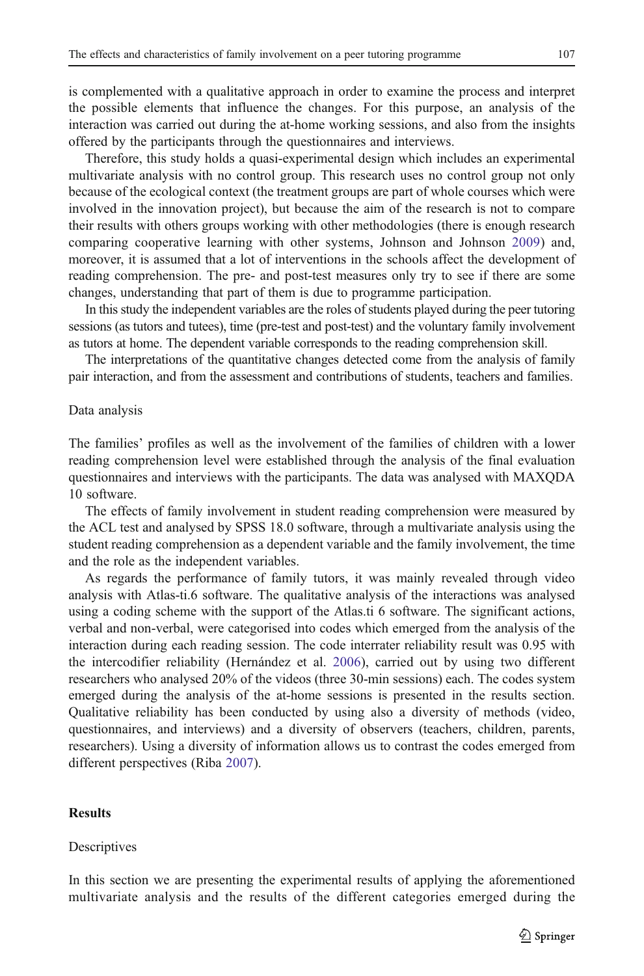is complemented with a qualitative approach in order to examine the process and interpret the possible elements that influence the changes. For this purpose, an analysis of the interaction was carried out during the at-home working sessions, and also from the insights offered by the participants through the questionnaires and interviews.

Therefore, this study holds a quasi-experimental design which includes an experimental multivariate analysis with no control group. This research uses no control group not only because of the ecological context (the treatment groups are part of whole courses which were involved in the innovation project), but because the aim of the research is not to compare their results with others groups working with other methodologies (there is enough research comparing cooperative learning with other systems, Johnson and Johnson [2009\)](#page-15-0) and, moreover, it is assumed that a lot of interventions in the schools affect the development of reading comprehension. The pre- and post-test measures only try to see if there are some changes, understanding that part of them is due to programme participation.

In this study the independent variables are the roles of students played during the peer tutoring sessions (as tutors and tutees), time (pre-test and post-test) and the voluntary family involvement as tutors at home. The dependent variable corresponds to the reading comprehension skill.

The interpretations of the quantitative changes detected come from the analysis of family pair interaction, and from the assessment and contributions of students, teachers and families.

### Data analysis

The families' profiles as well as the involvement of the families of children with a lower reading comprehension level were established through the analysis of the final evaluation questionnaires and interviews with the participants. The data was analysed with MAXQDA 10 software.

The effects of family involvement in student reading comprehension were measured by the ACL test and analysed by SPSS 18.0 software, through a multivariate analysis using the student reading comprehension as a dependent variable and the family involvement, the time and the role as the independent variables.

As regards the performance of family tutors, it was mainly revealed through video analysis with Atlas-ti.6 software. The qualitative analysis of the interactions was analysed using a coding scheme with the support of the Atlas.ti 6 software. The significant actions, verbal and non-verbal, were categorised into codes which emerged from the analysis of the interaction during each reading session. The code interrater reliability result was 0.95 with the intercodifier reliability (Hernández et al. [2006](#page-15-0)), carried out by using two different researchers who analysed 20% of the videos (three 30-min sessions) each. The codes system emerged during the analysis of the at-home sessions is presented in the results section. Qualitative reliability has been conducted by using also a diversity of methods (video, questionnaires, and interviews) and a diversity of observers (teachers, children, parents, researchers). Using a diversity of information allows us to contrast the codes emerged from different perspectives (Riba [2007](#page-16-0)).

### Results

### Descriptives

In this section we are presenting the experimental results of applying the aforementioned multivariate analysis and the results of the different categories emerged during the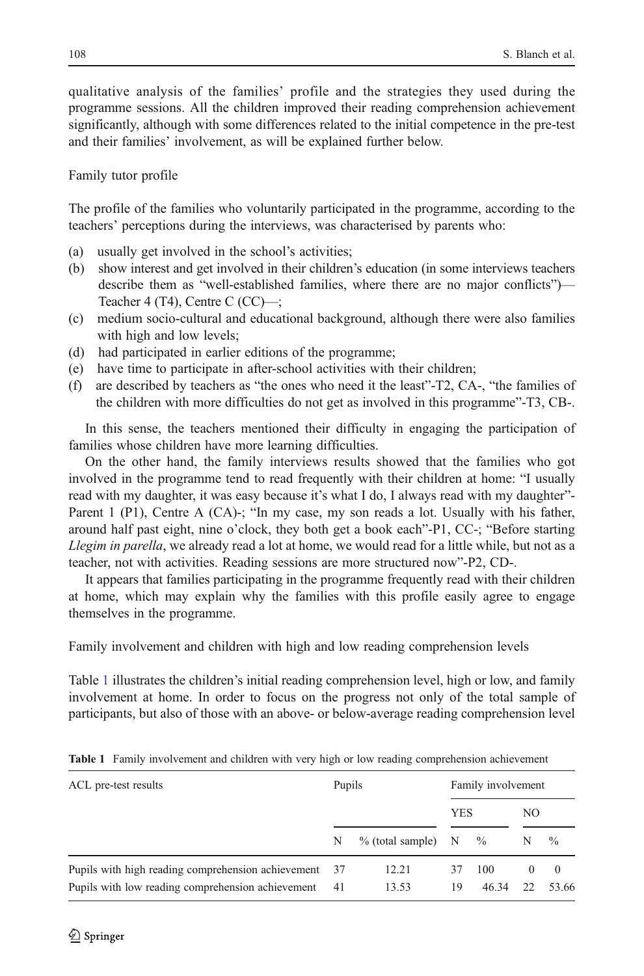qualitative analysis of the families' profile and the strategies they used during the programme sessions. All the children improved their reading comprehension achievement significantly, although with some differences related to the initial competence in the pre-test and their families' involvement, as will be explained further below.

# Family tutor profile

The profile of the families who voluntarily participated in the programme, according to the teachers' perceptions during the interviews, was characterised by parents who:

- (a) usually get involved in the school's activities;
- (b) show interest and get involved in their children's education (in some interviews teachers describe them as "well-established families, where there are no major conflicts")— Teacher 4 (T4), Centre C (CC)—;
- (c) medium socio-cultural and educational background, although there were also families with high and low levels;
- (d) had participated in earlier editions of the programme;
- (e) have time to participate in after-school activities with their children;
- (f) are described by teachers as "the ones who need it the least"-T2, CA-, "the families of the children with more difficulties do not get as involved in this programme"-T3, CB-.

In this sense, the teachers mentioned their difficulty in engaging the participation of families whose children have more learning difficulties.

On the other hand, the family interviews results showed that the families who got involved in the programme tend to read frequently with their children at home: "I usually read with my daughter, it was easy because it's what I do, I always read with my daughter"- Parent 1 (P1), Centre A (CA)-; "In my case, my son reads a lot. Usually with his father, around half past eight, nine o'clock, they both get a book each"-P1, CC-; "Before starting Llegim in parella, we already read a lot at home, we would read for a little while, but not as a teacher, not with activities. Reading sessions are more structured now"-P2, CD-.

It appears that families participating in the programme frequently read with their children at home, which may explain why the families with this profile easily agree to engage themselves in the programme.

Family involvement and children with high and low reading comprehension levels

Table 1 illustrates the children's initial reading comprehension level, high or low, and family involvement at home. In order to focus on the progress not only of the total sample of participants, but also of those with an above- or below-average reading comprehension level

| ACL pre-test results                                                                                    |          | Pupils                |          | Family involvement |    |                   |  |
|---------------------------------------------------------------------------------------------------------|----------|-----------------------|----------|--------------------|----|-------------------|--|
|                                                                                                         |          |                       |          | <b>YES</b>         |    | NO                |  |
|                                                                                                         | N        | $\%$ (total sample) N |          | $\frac{0}{0}$      |    | $\frac{0}{0}$     |  |
| Pupils with high reading comprehension achievement<br>Pupils with low reading comprehension achievement | 37<br>41 | 12.21<br>13.53        | 37<br>19 | 100<br>46.34       | 22 | $\Omega$<br>53.66 |  |

Table 1 Family involvement and children with very high or low reading comprehension achievement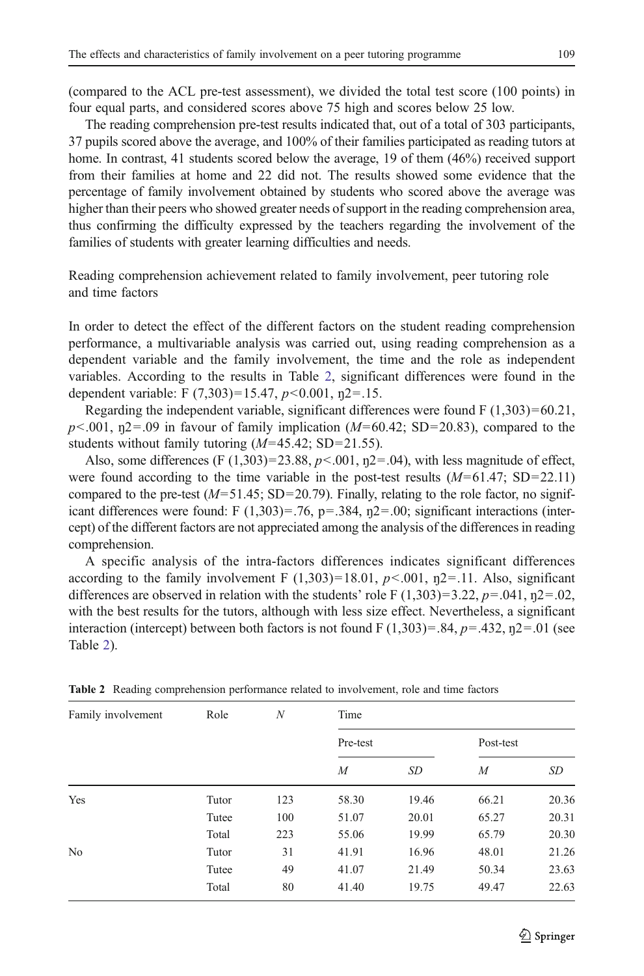(compared to the ACL pre-test assessment), we divided the total test score (100 points) in four equal parts, and considered scores above 75 high and scores below 25 low.

The reading comprehension pre-test results indicated that, out of a total of 303 participants, 37 pupils scored above the average, and 100% of their families participated as reading tutors at home. In contrast, 41 students scored below the average, 19 of them (46%) received support from their families at home and 22 did not. The results showed some evidence that the percentage of family involvement obtained by students who scored above the average was higher than their peers who showed greater needs of support in the reading comprehension area, thus confirming the difficulty expressed by the teachers regarding the involvement of the families of students with greater learning difficulties and needs.

Reading comprehension achievement related to family involvement, peer tutoring role and time factors

In order to detect the effect of the different factors on the student reading comprehension performance, a multivariable analysis was carried out, using reading comprehension as a dependent variable and the family involvement, the time and the role as independent variables. According to the results in Table 2, significant differences were found in the dependent variable: F  $(7,303)=15.47, p<0.001, \eta2=.15.$ 

Regarding the independent variable, significant differences were found  $F(1,303)=60.21$ ,  $p<.001$ ,  $p=0.09$  in favour of family implication ( $M=60.42$ ; SD=20.83), compared to the students without family tutoring  $(M=45.42; SD=21.55)$ .

Also, some differences (F  $(1,303)=23.88$ ,  $p<.001$ ,  $p2=.04$ ), with less magnitude of effect, were found according to the time variable in the post-test results  $(M=61.47; SD=22.11)$ compared to the pre-test  $(M=51.45; SD=20.79)$ . Finally, relating to the role factor, no significant differences were found: F  $(1,303) = 0.76$ , p=.384, n2=.00; significant interactions (intercept) of the different factors are not appreciated among the analysis of the differences in reading comprehension.

A specific analysis of the intra-factors differences indicates significant differences according to the family involvement F  $(1,303)=18.01$ ,  $p<.001$ ,  $p=11$ . Also, significant differences are observed in relation with the students' role F (1,303)=3.22,  $p=0.041$ ,  $p=0.02$ , with the best results for the tutors, although with less size effect. Nevertheless, a significant interaction (intercept) between both factors is not found F  $(1,303)=.84$ ,  $p=.432$ ,  $p=-.01$  (see Table 2).

| Family involvement | Role  | N   | Time           |       |           |       |  |
|--------------------|-------|-----|----------------|-------|-----------|-------|--|
|                    |       |     | Pre-test       |       | Post-test |       |  |
|                    |       |     | $\overline{M}$ | SD    | M         | SD    |  |
| Yes                | Tutor | 123 | 58.30          | 19.46 | 66.21     | 20.36 |  |
|                    | Tutee | 100 | 51.07          | 20.01 | 65.27     | 20.31 |  |
|                    | Total | 223 | 55.06          | 19.99 | 65.79     | 20.30 |  |
| N <sub>0</sub>     | Tutor | 31  | 41.91          | 16.96 | 48.01     | 21.26 |  |
|                    | Tutee | 49  | 41.07          | 21.49 | 50.34     | 23.63 |  |
|                    | Total | 80  | 41.40          | 19.75 | 49.47     | 22.63 |  |

Table 2 Reading comprehension performance related to involvement, role and time factors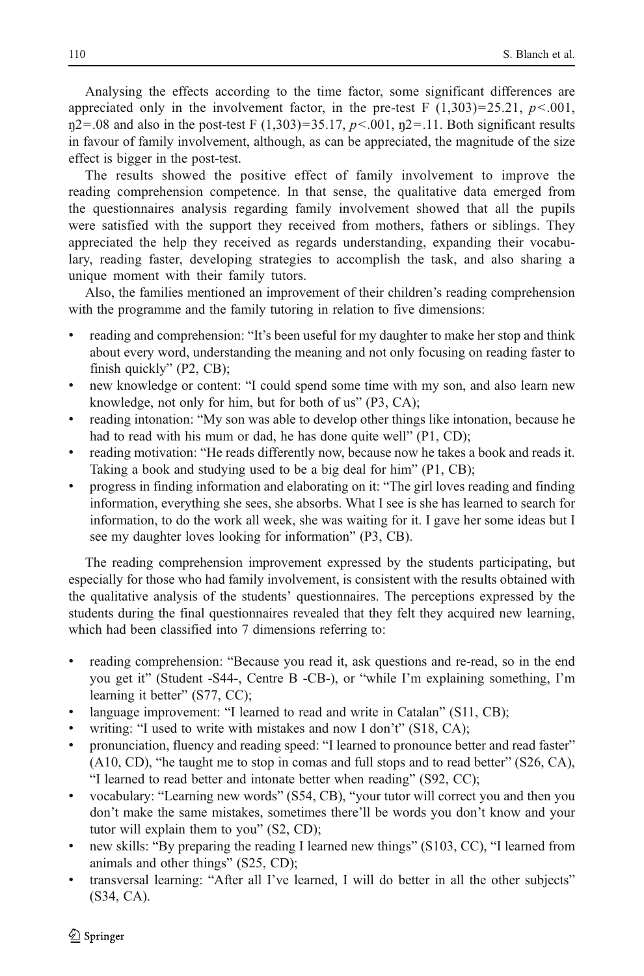Analysing the effects according to the time factor, some significant differences are appreciated only in the involvement factor, in the pre-test F  $(1,303)=25.21$ ,  $p<.001$ ,  $n^2$ =.08 and also in the post-test F (1,303)=35.17, p<.001,  $n^2$ =.11. Both significant results in favour of family involvement, although, as can be appreciated, the magnitude of the size effect is bigger in the post-test.

The results showed the positive effect of family involvement to improve the reading comprehension competence. In that sense, the qualitative data emerged from the questionnaires analysis regarding family involvement showed that all the pupils were satisfied with the support they received from mothers, fathers or siblings. They appreciated the help they received as regards understanding, expanding their vocabulary, reading faster, developing strategies to accomplish the task, and also sharing a unique moment with their family tutors.

Also, the families mentioned an improvement of their children's reading comprehension with the programme and the family tutoring in relation to five dimensions:

- reading and comprehension: "It's been useful for my daughter to make her stop and think about every word, understanding the meaning and not only focusing on reading faster to finish quickly" (P2, CB);
- new knowledge or content: "I could spend some time with my son, and also learn new knowledge, not only for him, but for both of us" (P3, CA);
- reading intonation: "My son was able to develop other things like intonation, because he had to read with his mum or dad, he has done quite well" (P1, CD);
- reading motivation: "He reads differently now, because now he takes a book and reads it. Taking a book and studying used to be a big deal for him" (P1, CB);
- & progress in finding information and elaborating on it: "The girl loves reading and finding information, everything she sees, she absorbs. What I see is she has learned to search for information, to do the work all week, she was waiting for it. I gave her some ideas but I see my daughter loves looking for information" (P3, CB).

The reading comprehension improvement expressed by the students participating, but especially for those who had family involvement, is consistent with the results obtained with the qualitative analysis of the students' questionnaires. The perceptions expressed by the students during the final questionnaires revealed that they felt they acquired new learning, which had been classified into 7 dimensions referring to:

- & reading comprehension: "Because you read it, ask questions and re-read, so in the end you get it" (Student -S44-, Centre B -CB-), or "while I'm explaining something, I'm learning it better" (S77, CC);
- language improvement: "I learned to read and write in Catalan" (S11, CB);
- writing: "I used to write with mistakes and now I don't" (S18, CA);
- pronunciation, fluency and reading speed: "I learned to pronounce better and read faster" (A10, CD), "he taught me to stop in comas and full stops and to read better" (S26, CA), "I learned to read better and intonate better when reading" (S92, CC);
- & vocabulary: "Learning new words" (S54, CB), "your tutor will correct you and then you don't make the same mistakes, sometimes there'll be words you don't know and your tutor will explain them to you" (S2, CD);
- new skills: "By preparing the reading I learned new things" (S103, CC), "I learned from animals and other things" (S25, CD);
- & transversal learning: "After all I've learned, I will do better in all the other subjects" (S34, CA).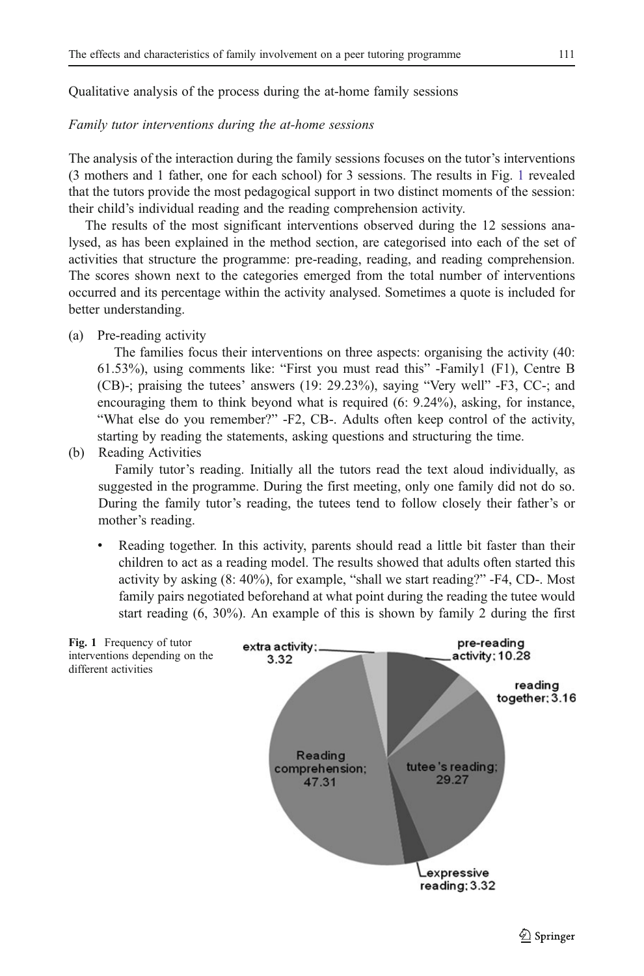Qualitative analysis of the process during the at-home family sessions

### Family tutor interventions during the at-home sessions

The analysis of the interaction during the family sessions focuses on the tutor's interventions (3 mothers and 1 father, one for each school) for 3 sessions. The results in Fig. 1 revealed that the tutors provide the most pedagogical support in two distinct moments of the session: their child's individual reading and the reading comprehension activity.

The results of the most significant interventions observed during the 12 sessions analysed, as has been explained in the method section, are categorised into each of the set of activities that structure the programme: pre-reading, reading, and reading comprehension. The scores shown next to the categories emerged from the total number of interventions occurred and its percentage within the activity analysed. Sometimes a quote is included for better understanding.

(a) Pre-reading activity

The families focus their interventions on three aspects: organising the activity (40: 61.53%), using comments like: "First you must read this" -Family1 (F1), Centre B (CB)-; praising the tutees' answers (19: 29.23%), saying "Very well" -F3, CC-; and encouraging them to think beyond what is required (6: 9.24%), asking, for instance, "What else do you remember?" -F2, CB-. Adults often keep control of the activity, starting by reading the statements, asking questions and structuring the time.

(b) Reading Activities

Family tutor's reading. Initially all the tutors read the text aloud individually, as suggested in the programme. During the first meeting, only one family did not do so. During the family tutor's reading, the tutees tend to follow closely their father's or mother's reading.

Reading together. In this activity, parents should read a little bit faster than their children to act as a reading model. The results showed that adults often started this activity by asking (8: 40%), for example, "shall we start reading?" -F4, CD-. Most family pairs negotiated beforehand at what point during the reading the tutee would start reading (6, 30%). An example of this is shown by family 2 during the first

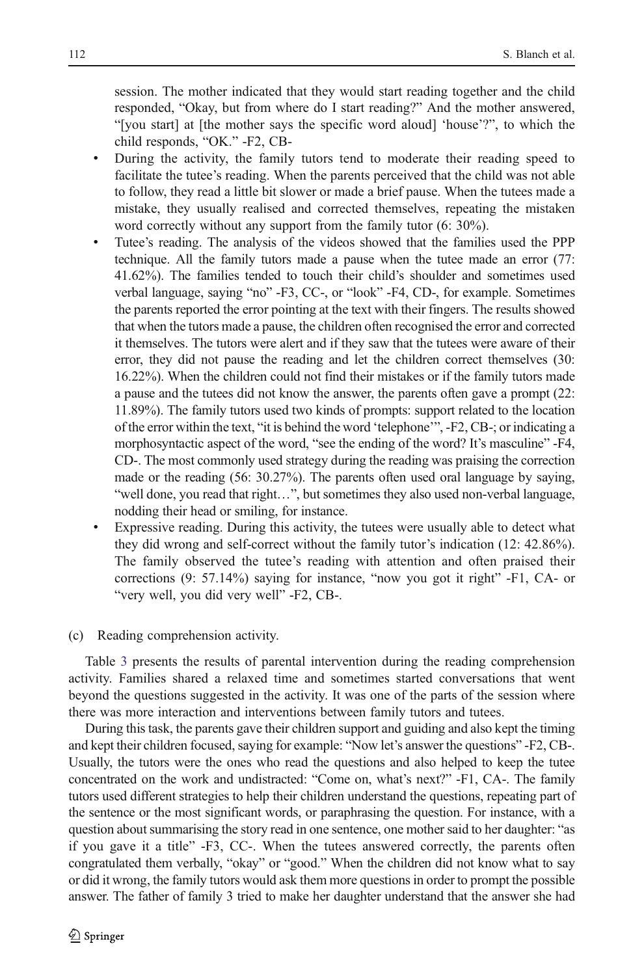session. The mother indicated that they would start reading together and the child responded, "Okay, but from where do I start reading?" And the mother answered, "[you start] at [the mother says the specific word aloud] 'house'?", to which the child responds, "OK." -F2, CB-

- During the activity, the family tutors tend to moderate their reading speed to facilitate the tutee's reading. When the parents perceived that the child was not able to follow, they read a little bit slower or made a brief pause. When the tutees made a mistake, they usually realised and corrected themselves, repeating the mistaken word correctly without any support from the family tutor (6: 30%).
- & Tutee's reading. The analysis of the videos showed that the families used the PPP technique. All the family tutors made a pause when the tutee made an error (77: 41.62%). The families tended to touch their child's shoulder and sometimes used verbal language, saying "no" -F3, CC-, or "look" -F4, CD-, for example. Sometimes the parents reported the error pointing at the text with their fingers. The results showed that when the tutors made a pause, the children often recognised the error and corrected it themselves. The tutors were alert and if they saw that the tutees were aware of their error, they did not pause the reading and let the children correct themselves (30: 16.22%). When the children could not find their mistakes or if the family tutors made a pause and the tutees did not know the answer, the parents often gave a prompt (22: 11.89%). The family tutors used two kinds of prompts: support related to the location of the error within the text, "it is behind the word 'telephone'", -F2, CB-; or indicating a morphosyntactic aspect of the word, "see the ending of the word? It's masculine" -F4, CD-. The most commonly used strategy during the reading was praising the correction made or the reading (56: 30.27%). The parents often used oral language by saying, "well done, you read that right…", but sometimes they also used non-verbal language, nodding their head or smiling, for instance.
- & Expressive reading. During this activity, the tutees were usually able to detect what they did wrong and self-correct without the family tutor's indication (12: 42.86%). The family observed the tutee's reading with attention and often praised their corrections (9: 57.14%) saying for instance, "now you got it right" -F1, CA- or "very well, you did very well" -F2, CB-.

### (c) Reading comprehension activity.

Table [3](#page-12-0) presents the results of parental intervention during the reading comprehension activity. Families shared a relaxed time and sometimes started conversations that went beyond the questions suggested in the activity. It was one of the parts of the session where there was more interaction and interventions between family tutors and tutees.

During this task, the parents gave their children support and guiding and also kept the timing and kept their children focused, saying for example: "Now let's answer the questions" -F2, CB-. Usually, the tutors were the ones who read the questions and also helped to keep the tutee concentrated on the work and undistracted: "Come on, what's next?" -F1, CA-. The family tutors used different strategies to help their children understand the questions, repeating part of the sentence or the most significant words, or paraphrasing the question. For instance, with a question about summarising the story read in one sentence, one mother said to her daughter: "as if you gave it a title" -F3, CC-. When the tutees answered correctly, the parents often congratulated them verbally, "okay" or "good." When the children did not know what to say or did it wrong, the family tutors would ask them more questions in order to prompt the possible answer. The father of family 3 tried to make her daughter understand that the answer she had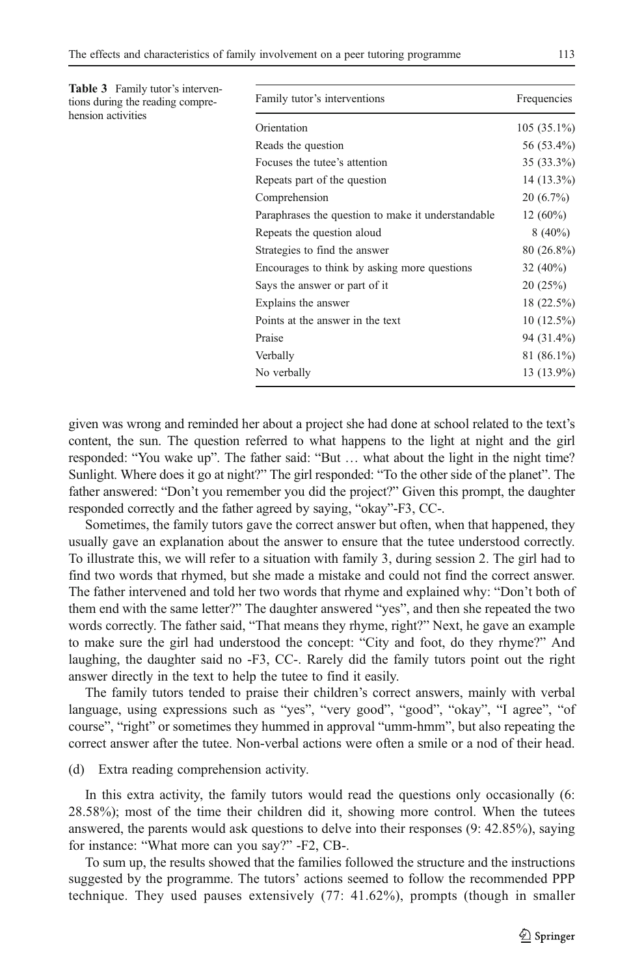<span id="page-12-0"></span>

| Table 3 Family tutor's interven-<br>tions during the reading compre- | Family tutor's interventions                       | Frequencies   |
|----------------------------------------------------------------------|----------------------------------------------------|---------------|
| hension activities                                                   | Orientation                                        | $105(35.1\%)$ |
|                                                                      | Reads the question                                 | 56 (53.4%)    |
|                                                                      | Focuses the tutee's attention                      | $35(33.3\%)$  |
|                                                                      | Repeats part of the question                       | $14(13.3\%)$  |
|                                                                      | Comprehension                                      | $20(6.7\%)$   |
|                                                                      | Paraphrases the question to make it understandable | $12(60\%)$    |
|                                                                      | Repeats the question aloud                         | $8(40\%)$     |
|                                                                      | Strategies to find the answer                      | 80 (26.8%)    |
|                                                                      | Encourages to think by asking more questions       | 32 $(40\%)$   |
|                                                                      | Says the answer or part of it                      | 20(25%)       |
|                                                                      | Explains the answer                                | 18 (22.5%)    |
|                                                                      | Points at the answer in the text                   | $10(12.5\%)$  |
|                                                                      | Praise                                             | 94 (31.4%)    |
|                                                                      | Verbally                                           | $81(86.1\%)$  |
|                                                                      | No verbally                                        | $13(13.9\%)$  |

given was wrong and reminded her about a project she had done at school related to the text's content, the sun. The question referred to what happens to the light at night and the girl responded: "You wake up". The father said: "But … what about the light in the night time? Sunlight. Where does it go at night?" The girl responded: "To the other side of the planet". The father answered: "Don't you remember you did the project?" Given this prompt, the daughter responded correctly and the father agreed by saying, "okay"-F3, CC-.

Sometimes, the family tutors gave the correct answer but often, when that happened, they usually gave an explanation about the answer to ensure that the tutee understood correctly. To illustrate this, we will refer to a situation with family 3, during session 2. The girl had to find two words that rhymed, but she made a mistake and could not find the correct answer. The father intervened and told her two words that rhyme and explained why: "Don't both of them end with the same letter?" The daughter answered "yes", and then she repeated the two words correctly. The father said, "That means they rhyme, right?" Next, he gave an example to make sure the girl had understood the concept: "City and foot, do they rhyme?" And laughing, the daughter said no -F3, CC-. Rarely did the family tutors point out the right answer directly in the text to help the tutee to find it easily.

The family tutors tended to praise their children's correct answers, mainly with verbal language, using expressions such as "yes", "very good", "good", "okay", "I agree", "of course", "right" or sometimes they hummed in approval "umm-hmm", but also repeating the correct answer after the tutee. Non-verbal actions were often a smile or a nod of their head.

#### (d) Extra reading comprehension activity.

In this extra activity, the family tutors would read the questions only occasionally (6: 28.58%); most of the time their children did it, showing more control. When the tutees answered, the parents would ask questions to delve into their responses (9: 42.85%), saying for instance: "What more can you say?" -F2, CB-.

To sum up, the results showed that the families followed the structure and the instructions suggested by the programme. The tutors' actions seemed to follow the recommended PPP technique. They used pauses extensively (77: 41.62%), prompts (though in smaller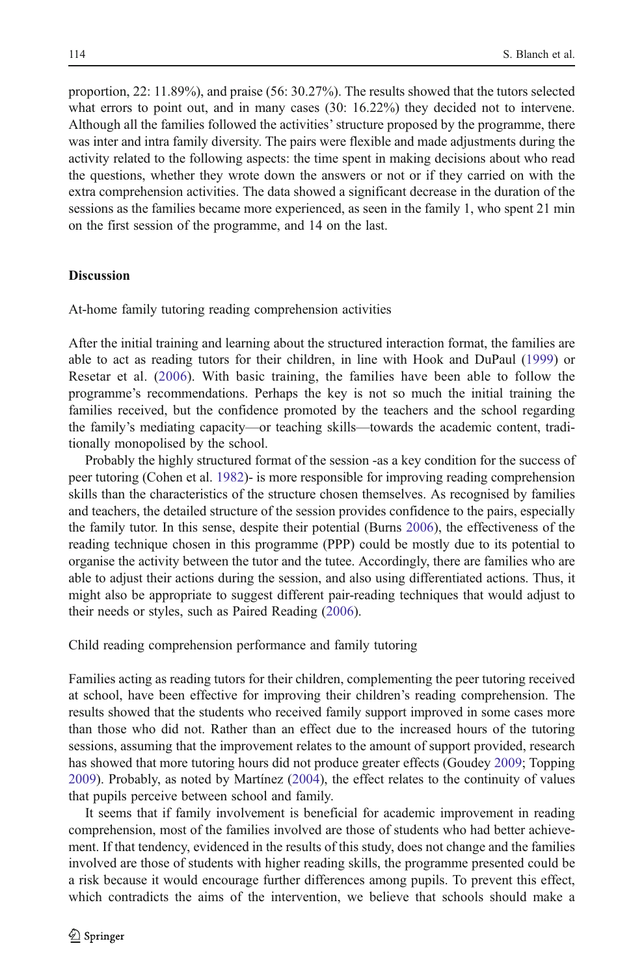proportion, 22: 11.89%), and praise (56: 30.27%). The results showed that the tutors selected what errors to point out, and in many cases (30: 16.22%) they decided not to intervene. Although all the families followed the activities'structure proposed by the programme, there was inter and intra family diversity. The pairs were flexible and made adjustments during the activity related to the following aspects: the time spent in making decisions about who read the questions, whether they wrote down the answers or not or if they carried on with the extra comprehension activities. The data showed a significant decrease in the duration of the sessions as the families became more experienced, as seen in the family 1, who spent 21 min on the first session of the programme, and 14 on the last.

### **Discussion**

At-home family tutoring reading comprehension activities

After the initial training and learning about the structured interaction format, the families are able to act as reading tutors for their children, in line with Hook and DuPaul [\(1999\)](#page-15-0) or Resetar et al. [\(2006\)](#page-16-0). With basic training, the families have been able to follow the programme's recommendations. Perhaps the key is not so much the initial training the families received, but the confidence promoted by the teachers and the school regarding the family's mediating capacity—or teaching skills—towards the academic content, traditionally monopolised by the school.

Probably the highly structured format of the session -as a key condition for the success of peer tutoring (Cohen et al. [1982\)](#page-15-0)- is more responsible for improving reading comprehension skills than the characteristics of the structure chosen themselves. As recognised by families and teachers, the detailed structure of the session provides confidence to the pairs, especially the family tutor. In this sense, despite their potential (Burns [2006](#page-15-0)), the effectiveness of the reading technique chosen in this programme (PPP) could be mostly due to its potential to organise the activity between the tutor and the tutee. Accordingly, there are families who are able to adjust their actions during the session, and also using differentiated actions. Thus, it might also be appropriate to suggest different pair-reading techniques that would adjust to their needs or styles, such as Paired Reading ([2006\)](#page-16-0).

Child reading comprehension performance and family tutoring

Families acting as reading tutors for their children, complementing the peer tutoring received at school, have been effective for improving their children's reading comprehension. The results showed that the students who received family support improved in some cases more than those who did not. Rather than an effect due to the increased hours of the tutoring sessions, assuming that the improvement relates to the amount of support provided, research has showed that more tutoring hours did not produce greater effects (Goudey [2009](#page-15-0); Topping [2009\)](#page-16-0). Probably, as noted by Martínez [\(2004](#page-16-0)), the effect relates to the continuity of values that pupils perceive between school and family.

It seems that if family involvement is beneficial for academic improvement in reading comprehension, most of the families involved are those of students who had better achievement. If that tendency, evidenced in the results of this study, does not change and the families involved are those of students with higher reading skills, the programme presented could be a risk because it would encourage further differences among pupils. To prevent this effect, which contradicts the aims of the intervention, we believe that schools should make a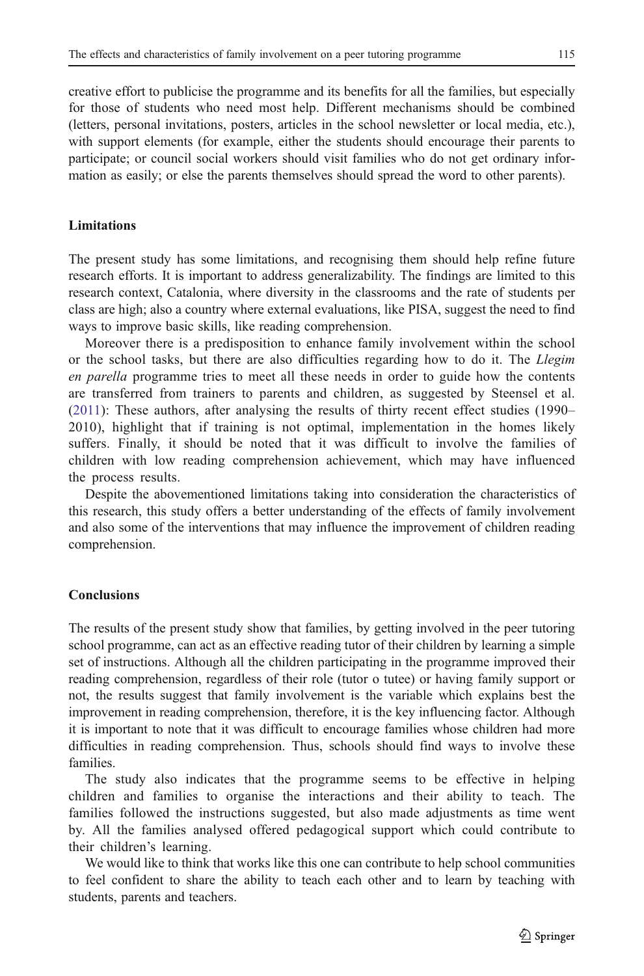creative effort to publicise the programme and its benefits for all the families, but especially for those of students who need most help. Different mechanisms should be combined (letters, personal invitations, posters, articles in the school newsletter or local media, etc.), with support elements (for example, either the students should encourage their parents to participate; or council social workers should visit families who do not get ordinary information as easily; or else the parents themselves should spread the word to other parents).

# **Limitations**

The present study has some limitations, and recognising them should help refine future research efforts. It is important to address generalizability. The findings are limited to this research context, Catalonia, where diversity in the classrooms and the rate of students per class are high; also a country where external evaluations, like PISA, suggest the need to find ways to improve basic skills, like reading comprehension.

Moreover there is a predisposition to enhance family involvement within the school or the school tasks, but there are also difficulties regarding how to do it. The Llegim en parella programme tries to meet all these needs in order to guide how the contents are transferred from trainers to parents and children, as suggested by Steensel et al. ([2011\)](#page-16-0): These authors, after analysing the results of thirty recent effect studies (1990– 2010), highlight that if training is not optimal, implementation in the homes likely suffers. Finally, it should be noted that it was difficult to involve the families of children with low reading comprehension achievement, which may have influenced the process results.

Despite the abovementioned limitations taking into consideration the characteristics of this research, this study offers a better understanding of the effects of family involvement and also some of the interventions that may influence the improvement of children reading comprehension.

### Conclusions

The results of the present study show that families, by getting involved in the peer tutoring school programme, can act as an effective reading tutor of their children by learning a simple set of instructions. Although all the children participating in the programme improved their reading comprehension, regardless of their role (tutor o tutee) or having family support or not, the results suggest that family involvement is the variable which explains best the improvement in reading comprehension, therefore, it is the key influencing factor. Although it is important to note that it was difficult to encourage families whose children had more difficulties in reading comprehension. Thus, schools should find ways to involve these families.

The study also indicates that the programme seems to be effective in helping children and families to organise the interactions and their ability to teach. The families followed the instructions suggested, but also made adjustments as time went by. All the families analysed offered pedagogical support which could contribute to their children's learning.

We would like to think that works like this one can contribute to help school communities to feel confident to share the ability to teach each other and to learn by teaching with students, parents and teachers.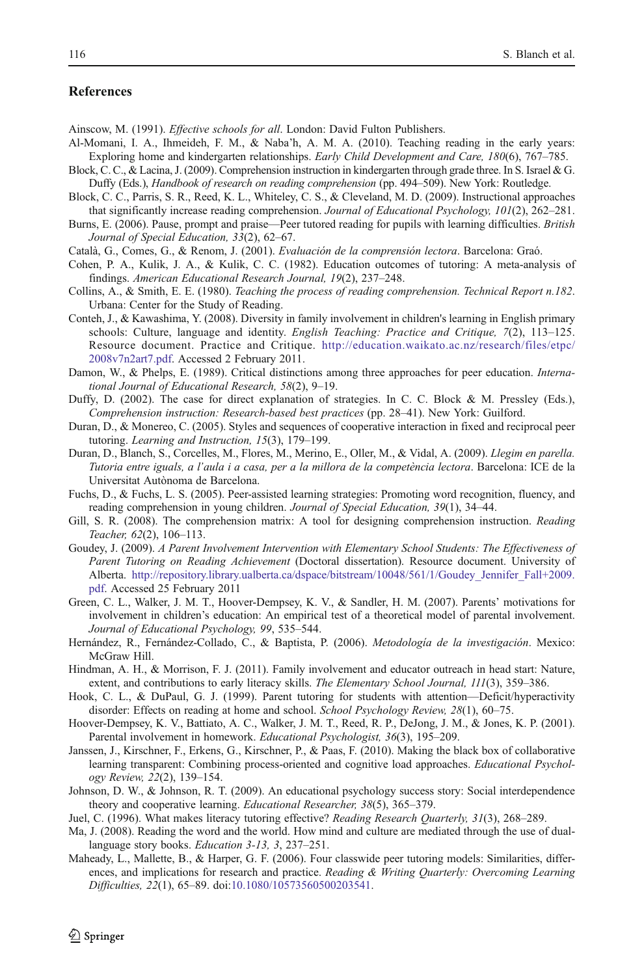### <span id="page-15-0"></span>References

Ainscow, M. (1991). Effective schools for all. London: David Fulton Publishers.

- Al-Momani, I. A., Ihmeideh, F. M., & Naba'h, A. M. A. (2010). Teaching reading in the early years: Exploring home and kindergarten relationships. Early Child Development and Care, 180(6), 767–785.
- Block, C. C., & Lacina, J. (2009). Comprehension instruction in kindergarten through grade three. In S. Israel & G. Duffy (Eds.), Handbook of research on reading comprehension (pp. 494–509). New York: Routledge.
- Block, C. C., Parris, S. R., Reed, K. L., Whiteley, C. S., & Cleveland, M. D. (2009). Instructional approaches that significantly increase reading comprehension. Journal of Educational Psychology, 101(2), 262–281.
- Burns, E. (2006). Pause, prompt and praise—Peer tutored reading for pupils with learning difficulties. British Journal of Special Education, 33(2), 62–67.
- Català, G., Comes, G., & Renom, J. (2001). Evaluación de la comprensión lectora. Barcelona: Graó.
- Cohen, P. A., Kulik, J. A., & Kulik, C. C. (1982). Education outcomes of tutoring: A meta-analysis of findings. American Educational Research Journal, 19(2), 237–248.
- Collins, A., & Smith, E. E. (1980). Teaching the process of reading comprehension. Technical Report n.182. Urbana: Center for the Study of Reading.
- Conteh, J., & Kawashima, Y. (2008). Diversity in family involvement in children's learning in English primary schools: Culture, language and identity. English Teaching: Practice and Critique, 7(2), 113-125. Resource document. Practice and Critique. [http://education.waikato.ac.nz/research/files/etpc/](http://education.waikato.ac.nz/research/files/etpc/2008v7n2art7.pdf) [2008v7n2art7.pdf](http://education.waikato.ac.nz/research/files/etpc/2008v7n2art7.pdf). Accessed 2 February 2011.
- Damon, W., & Phelps, E. (1989). Critical distinctions among three approaches for peer education. International Journal of Educational Research, 58(2), 9–19.
- Duffy, D. (2002). The case for direct explanation of strategies. In C. C. Block & M. Pressley (Eds.), Comprehension instruction: Research-based best practices (pp. 28–41). New York: Guilford.
- Duran, D., & Monereo, C. (2005). Styles and sequences of cooperative interaction in fixed and reciprocal peer tutoring. Learning and Instruction, 15(3), 179–199.
- Duran, D., Blanch, S., Corcelles, M., Flores, M., Merino, E., Oller, M., & Vidal, A. (2009). Llegim en parella. Tutoria entre iguals, a l'aula i a casa, per a la millora de la competència lectora. Barcelona: ICE de la Universitat Autònoma de Barcelona.
- Fuchs, D., & Fuchs, L. S. (2005). Peer-assisted learning strategies: Promoting word recognition, fluency, and reading comprehension in young children. Journal of Special Education, 39(1), 34–44.
- Gill, S. R. (2008). The comprehension matrix: A tool for designing comprehension instruction. Reading Teacher, 62(2), 106–113.
- Goudey, J. (2009). A Parent Involvement Intervention with Elementary School Students: The Effectiveness of Parent Tutoring on Reading Achievement (Doctoral dissertation). Resource document. University of Alberta. [http://repository.library.ualberta.ca/dspace/bitstream/10048/561/1/Goudey\\_Jennifer\\_Fall+2009.](http://repository.library.ualberta.ca/dspace/bitstream/10048/561/1/Goudey_Jennifer_Fall+2009.pdf) [pdf](http://repository.library.ualberta.ca/dspace/bitstream/10048/561/1/Goudey_Jennifer_Fall+2009.pdf). Accessed 25 February 2011
- Green, C. L., Walker, J. M. T., Hoover-Dempsey, K. V., & Sandler, H. M. (2007). Parents' motivations for involvement in children's education: An empirical test of a theoretical model of parental involvement. Journal of Educational Psychology, 99, 535–544.
- Hernández, R., Fernández-Collado, C., & Baptista, P. (2006). Metodología de la investigación. Mexico: McGraw Hill.
- Hindman, A. H., & Morrison, F. J. (2011). Family involvement and educator outreach in head start: Nature, extent, and contributions to early literacy skills. The Elementary School Journal, 111(3), 359–386.
- Hook, C. L., & DuPaul, G. J. (1999). Parent tutoring for students with attention—Deficit/hyperactivity disorder: Effects on reading at home and school. School Psychology Review, 28(1), 60–75.
- Hoover-Dempsey, K. V., Battiato, A. C., Walker, J. M. T., Reed, R. P., DeJong, J. M., & Jones, K. P. (2001). Parental involvement in homework. Educational Psychologist, 36(3), 195–209.
- Janssen, J., Kirschner, F., Erkens, G., Kirschner, P., & Paas, F. (2010). Making the black box of collaborative learning transparent: Combining process-oriented and cognitive load approaches. Educational Psychology Review, 22(2), 139–154.
- Johnson, D. W., & Johnson, R. T. (2009). An educational psychology success story: Social interdependence theory and cooperative learning. Educational Researcher, 38(5), 365–379.
- Juel, C. (1996). What makes literacy tutoring effective? Reading Research Quarterly, 31(3), 268-289.
- Ma, J. (2008). Reading the word and the world. How mind and culture are mediated through the use of duallanguage story books. Education 3-13, 3, 237–251.
- Maheady, L., Mallette, B., & Harper, G. F. (2006). Four classwide peer tutoring models: Similarities, differences, and implications for research and practice. Reading & Writing Quarterly: Overcoming Learning Difficulties, 22(1), 65–89. doi:[10.1080/10573560500203541](http://dx.doi.org/10.1080/10573560500203541).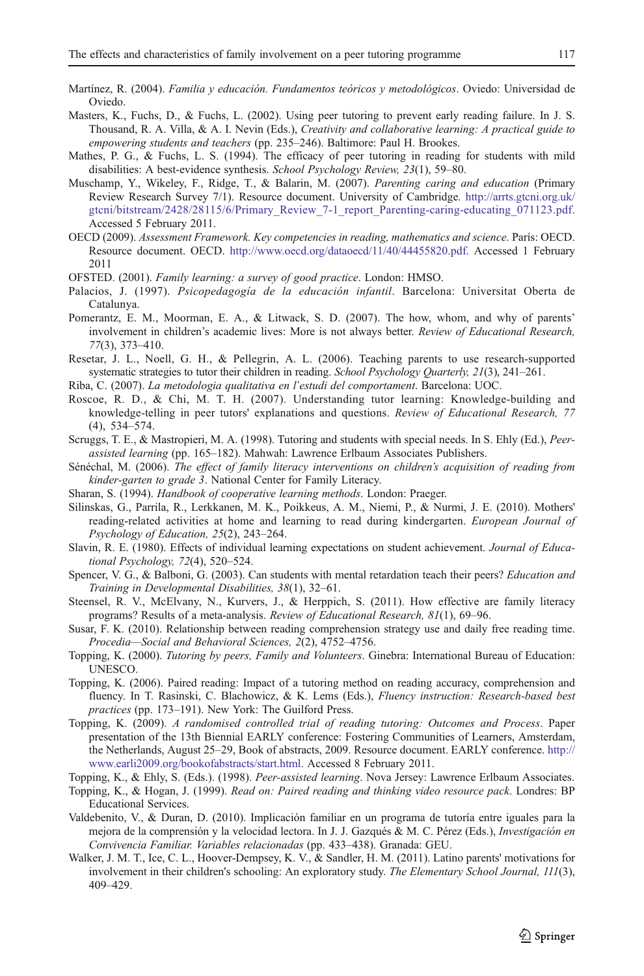- <span id="page-16-0"></span>Martínez, R. (2004). Familia y educación. Fundamentos teóricos y metodológicos. Oviedo: Universidad de Oviedo.
- Masters, K., Fuchs, D., & Fuchs, L. (2002). Using peer tutoring to prevent early reading failure. In J. S. Thousand, R. A. Villa, & A. I. Nevin (Eds.), Creativity and collaborative learning: A practical guide to empowering students and teachers (pp. 235–246). Baltimore: Paul H. Brookes.
- Mathes, P. G., & Fuchs, L. S. (1994). The efficacy of peer tutoring in reading for students with mild disabilities: A best-evidence synthesis. School Psychology Review, 23(1), 59–80.
- Muschamp, Y., Wikeley, F., Ridge, T., & Balarin, M. (2007). Parenting caring and education (Primary Review Research Survey 7/1). Resource document. University of Cambridge. [http://arrts.gtcni.org.uk/](http://arrts.gtcni.org.uk/gtcni/bitstream/2428/28115/6/Primary_Review_7-1_report_Parenting-caring-educating_071123.pdf) [gtcni/bitstream/2428/28115/6/Primary\\_Review\\_7-1\\_report\\_Parenting-caring-educating\\_071123.pdf.](http://arrts.gtcni.org.uk/gtcni/bitstream/2428/28115/6/Primary_Review_7-1_report_Parenting-caring-educating_071123.pdf) Accessed 5 February 2011.
- OECD (2009). Assessment Framework. Key competencies in reading, mathematics and science. París: OECD. Resource document. OECD. <http://www.oecd.org/dataoecd/11/40/44455820.pdf>. Accessed 1 February 2011
- OFSTED. (2001). Family learning: a survey of good practice. London: HMSO.
- Palacios, J. (1997). Psicopedagogía de la educación infantil. Barcelona: Universitat Oberta de Catalunya.
- Pomerantz, E. M., Moorman, E. A., & Litwack, S. D. (2007). The how, whom, and why of parents' involvement in children's academic lives: More is not always better. Review of Educational Research, 77(3), 373–410.
- Resetar, J. L., Noell, G. H., & Pellegrin, A. L. (2006). Teaching parents to use research-supported systematic strategies to tutor their children in reading. School Psychology Quarterly, 21(3), 241-261.
- Riba, C. (2007). La metodologia qualitativa en l'estudi del comportament. Barcelona: UOC.
- Roscoe, R. D., & Chi, M. T. H. (2007). Understanding tutor learning: Knowledge-building and knowledge-telling in peer tutors' explanations and questions. Review of Educational Research, 77 (4), 534–574.
- Scruggs, T. E., & Mastropieri, M. A. (1998). Tutoring and students with special needs. In S. Ehly (Ed.), Peerassisted learning (pp. 165–182). Mahwah: Lawrence Erlbaum Associates Publishers.
- Sénéchal, M. (2006). The effect of family literacy interventions on children's acquisition of reading from kinder-garten to grade 3. National Center for Family Literacy.
- Sharan, S. (1994). Handbook of cooperative learning methods. London: Praeger.
- Silinskas, G., Parrila, R., Lerkkanen, M. K., Poikkeus, A. M., Niemi, P., & Nurmi, J. E. (2010). Mothers' reading-related activities at home and learning to read during kindergarten. European Journal of Psychology of Education, 25(2), 243–264.
- Slavin, R. E. (1980). Effects of individual learning expectations on student achievement. Journal of Educational Psychology, 72(4), 520–524.
- Spencer, V. G., & Balboni, G. (2003). Can students with mental retardation teach their peers? *Education and* Training in Developmental Disabilities, 38(1), 32–61.
- Steensel, R. V., McElvany, N., Kurvers, J., & Herppich, S. (2011). How effective are family literacy programs? Results of a meta-analysis. Review of Educational Research, 81(1), 69–96.
- Susar, F. K. (2010). Relationship between reading comprehension strategy use and daily free reading time. Procedia—Social and Behavioral Sciences, 2(2), 4752–4756.
- Topping, K. (2000). Tutoring by peers, Family and Volunteers. Ginebra: International Bureau of Education: UNESCO.
- Topping, K. (2006). Paired reading: Impact of a tutoring method on reading accuracy, comprehension and fluency. In T. Rasinski, C. Blachowicz, & K. Lems (Eds.), Fluency instruction: Research-based best practices (pp. 173–191). New York: The Guilford Press.
- Topping, K. (2009). A randomised controlled trial of reading tutoring: Outcomes and Process. Paper presentation of the 13th Biennial EARLY conference: Fostering Communities of Learners, Amsterdam, the Netherlands, August 25–29, Book of abstracts, 2009. Resource document. EARLY conference. [http://](http://www.earli2009.org/bookofabstracts/start.html) [www.earli2009.org/bookofabstracts/start.html](http://www.earli2009.org/bookofabstracts/start.html). Accessed 8 February 2011.
- Topping, K., & Ehly, S. (Eds.). (1998). Peer-assisted learning. Nova Jersey: Lawrence Erlbaum Associates.
- Topping, K., & Hogan, J. (1999). Read on: Paired reading and thinking video resource pack. Londres: BP Educational Services.
- Valdebenito, V., & Duran, D. (2010). Implicación familiar en un programa de tutoría entre iguales para la mejora de la comprensión y la velocidad lectora. In J. J. Gazqués & M. C. Pérez (Eds.), Investigación en Convivencia Familiar. Variables relacionadas (pp. 433–438). Granada: GEU.
- Walker, J. M. T., Ice, C. L., Hoover-Dempsey, K. V., & Sandler, H. M. (2011). Latino parents' motivations for involvement in their children's schooling: An exploratory study. The Elementary School Journal, 111(3), 409–429.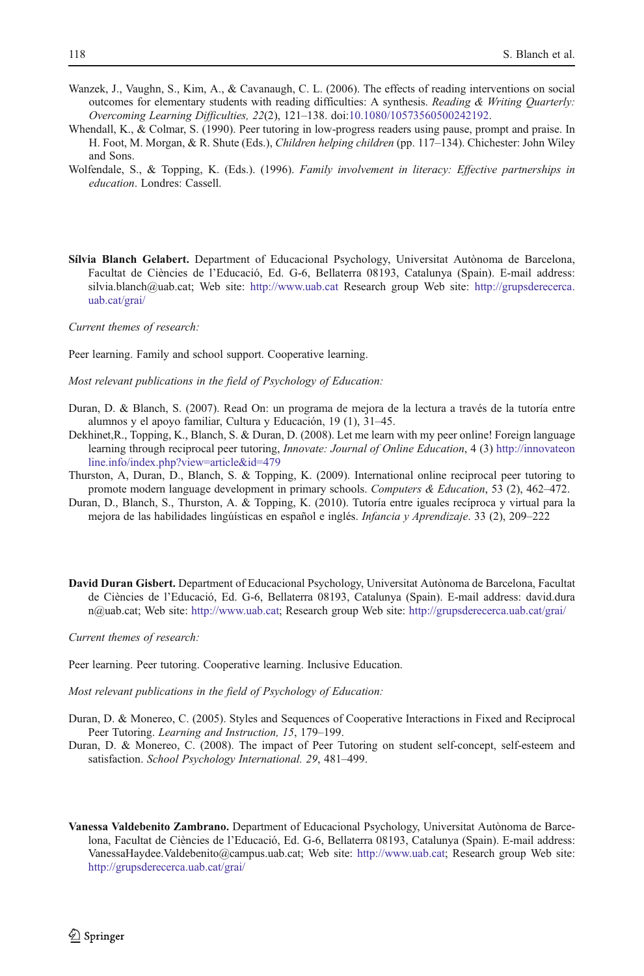- <span id="page-17-0"></span>Wanzek, J., Vaughn, S., Kim, A., & Cavanaugh, C. L. (2006). The effects of reading interventions on social outcomes for elementary students with reading difficulties: A synthesis. Reading & Writing Quarterly: Overcoming Learning Difficulties, 22(2), 121–138. doi[:10.1080/10573560500242192.](http://dx.doi.org/10.1080/10573560500242192)
- Whendall, K., & Colmar, S. (1990). Peer tutoring in low-progress readers using pause, prompt and praise. In H. Foot, M. Morgan, & R. Shute (Eds.), Children helping children (pp. 117–134). Chichester: John Wiley and Sons.
- Wolfendale, S., & Topping, K. (Eds.). (1996). Family involvement in literacy: Effective partnerships in education. Londres: Cassell.
- Sílvia Blanch Gelabert. Department of Educacional Psychology, Universitat Autònoma de Barcelona, Facultat de Ciències de l'Educació, Ed. G-6, Bellaterra 08193, Catalunya (Spain). E-mail address: silvia.blanch@uab.cat; Web site: <http://www.uab.cat> Research group Web site: [http://grupsderecerca.](http://grupsderecerca.uab.cat/grai/) [uab.cat/grai/](http://grupsderecerca.uab.cat/grai/)

Current themes of research:

Peer learning. Family and school support. Cooperative learning.

Most relevant publications in the field of Psychology of Education:

- Duran, D. & Blanch, S. (2007). Read On: un programa de mejora de la lectura a través de la tutoría entre alumnos y el apoyo familiar, Cultura y Educación, 19 (1), 31–45.
- Dekhinet,R., Topping, K., Blanch, S. & Duran, D. (2008). Let me learn with my peer online! [Foreign language](http://innovateonline.info/index.php?view=article&id=479) [learning through reciprocal peer tuto](http://innovateonline.info/index.php?view=article&id=479)r[ing,](http://innovateonline.info/index.php?view=article&id=479) *Innovate: Journal of Online Education*, 4 (3) http://innovateon line.info/index.php?view=article&id=479
- Thurston, A, Duran, D., Blanch, S. & Topping, K. (2009). International online reciprocal peer tutoring to promote modern language development in primary schools. Computers & Education, 53 (2), 462–472.
- Duran, D., Blanch, S., Thurston, A. & Topping, K. (2010). Tutoría entre iguales recíproca y virtual para la mejora de las habilidades lingúísticas en español e inglés. Infancia y Aprendizaje. 33 (2), 209–222
- David Duran Gisbert. Department of Educacional Psychology, Universitat Autònoma de Barcelona, Facultat de Ciències de l'Edu[cació, Ed. G-6, Be](http://www.uab.cat)llaterra 08193, Catalunya [\(Spain\). E-mail address: david.du](http://grupsderecerca.uab.cat/grai/)ra n@uab.cat; Web site: http://www.uab.cat; Research group Web site: http://grupsderecerca.uab.cat/grai/

Current themes of research:

Peer learning. Peer tutoring. Cooperative learning. Inclusive Education.

Most relevant publications in the field of Psychology of Education:

- Duran, D. & Monereo, C. (2005). Styles and Sequences of Cooperative Interactions in Fixed and Reciprocal Peer Tutoring. Learning and Instruction, 15, 179–199.
- Duran, D. & Monereo, C. (2008). The impact of Peer Tutoring on student self-concept, self-esteem and satisfaction. School Psychology International. 29, 481–499.
- Vanessa Valdebenito Zambrano. Department of Educacional Psychology, Universitat Autònoma de Barcelona, Facultat de Ciències de l'Educació, Ed. G-6, Bellat[erra 08193, Catalun](http://www.uab.cat)ya (Spain). E-mail address: [VanessaHaydee.Valdebenito@cam](http://grupsderecerca.uab.cat/grai/)pus.uab.cat; Web site: http://www.uab.cat; Research group Web site: http://grupsderecerca.uab.cat/grai/